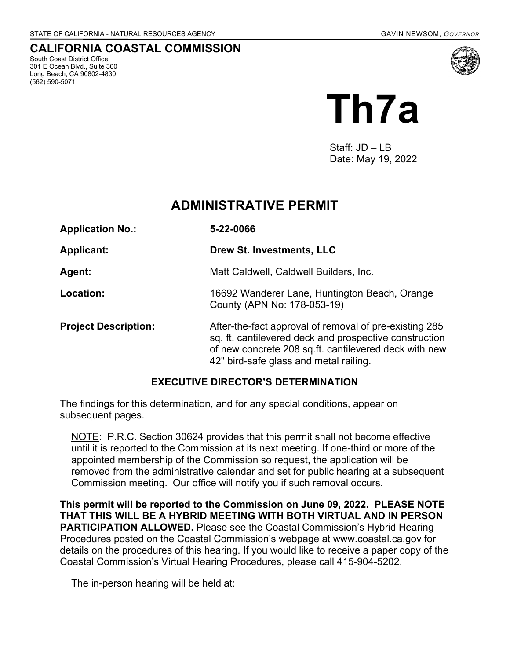# **CALIFORNIA COASTAL COMMISSION**

South Coast District Office 301 E Ocean Blvd., Suite 300 Long Beach, CA 90802-4830 (562) 590-5071



Staff: JD – LB Date: May 19, 2022

# **ADMINISTRATIVE PERMIT**

| <b>Application No.:</b>     | 5-22-0066                                                                                                                                                                                                           |
|-----------------------------|---------------------------------------------------------------------------------------------------------------------------------------------------------------------------------------------------------------------|
| <b>Applicant:</b>           | Drew St. Investments, LLC                                                                                                                                                                                           |
| Agent:                      | Matt Caldwell, Caldwell Builders, Inc.                                                                                                                                                                              |
| Location:                   | 16692 Wanderer Lane, Huntington Beach, Orange<br>County (APN No: 178-053-19)                                                                                                                                        |
| <b>Project Description:</b> | After-the-fact approval of removal of pre-existing 285<br>sq. ft. cantilevered deck and prospective construction<br>of new concrete 208 sq.ft. cantilevered deck with new<br>42" bird-safe glass and metal railing. |

### **EXECUTIVE DIRECTOR'S DETERMINATION**

The findings for this determination, and for any special conditions, appear on subsequent pages.

NOTE: P.R.C. Section 30624 provides that this permit shall not become effective until it is reported to the Commission at its next meeting. If one-third or more of the appointed membership of the Commission so request, the application will be removed from the administrative calendar and set for public hearing at a subsequent Commission meeting. Our office will notify you if such removal occurs.

**This permit will be reported to the Commission on June 09, 2022. PLEASE NOTE THAT THIS WILL BE A HYBRID MEETING WITH BOTH VIRTUAL AND IN PERSON PARTICIPATION ALLOWED.** Please see the Coastal Commission's Hybrid Hearing Procedures posted on the Coastal Commission's webpage at www.coastal.ca.gov for details on the procedures of this hearing. If you would like to receive a paper copy of the Coastal Commission's Virtual Hearing Procedures, please call 415-904-5202.

The in-person hearing will be held at: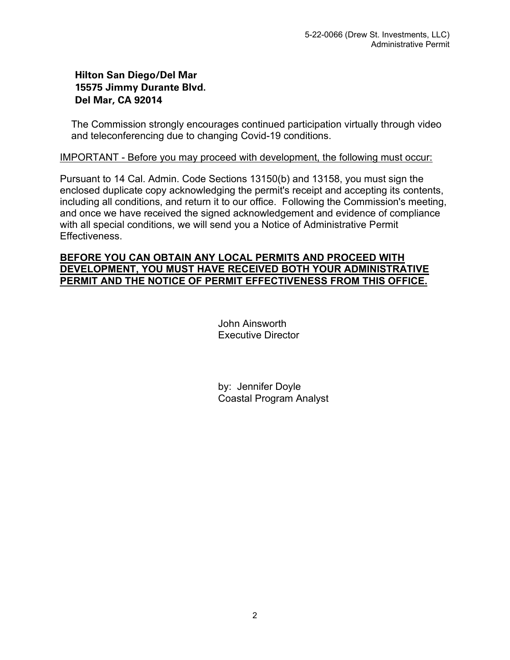# **Hilton San Diego/Del Mar 15575 Jimmy Durante Blvd. Del Mar, CA 92014**

The Commission strongly encourages continued participation virtually through video and teleconferencing due to changing Covid-19 conditions.

### IMPORTANT - Before you may proceed with development, the following must occur:

Pursuant to 14 Cal. Admin. Code Sections 13150(b) and 13158, you must sign the enclosed duplicate copy acknowledging the permit's receipt and accepting its contents, including all conditions, and return it to our office. Following the Commission's meeting, and once we have received the signed acknowledgement and evidence of compliance with all special conditions, we will send you a Notice of Administrative Permit Effectiveness.

### **BEFORE YOU CAN OBTAIN ANY LOCAL PERMITS AND PROCEED WITH DEVELOPMENT, YOU MUST HAVE RECEIVED BOTH YOUR ADMINISTRATIVE PERMIT AND THE NOTICE OF PERMIT EFFECTIVENESS FROM THIS OFFICE.**

John Ainsworth Executive Director

by: Jennifer Doyle Coastal Program Analyst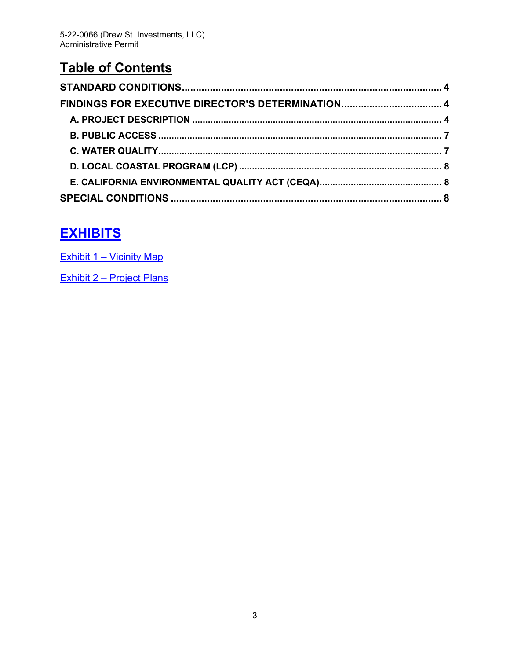# **Table of Contents**

| FINDINGS FOR EXECUTIVE DIRECTOR'S DETERMINATION 4 |  |
|---------------------------------------------------|--|
|                                                   |  |
|                                                   |  |
|                                                   |  |
|                                                   |  |
|                                                   |  |
|                                                   |  |

# **[EXHIBITS](https://documents.coastal.ca.gov/reports/2022/6/Th7a/Th7a-6-2022-exhibits.pdf)**

Exhibit 1 – [Vicinity Map](https://documents.coastal.ca.gov/reports/2022/6/Th7a/Th7a-6-2022-exhibits.pdf)

Exhibit 2 – [Project Plans](https://documents.coastal.ca.gov/reports/2022/6/Th7a/Th7a-6-2022-exhibits.pdf)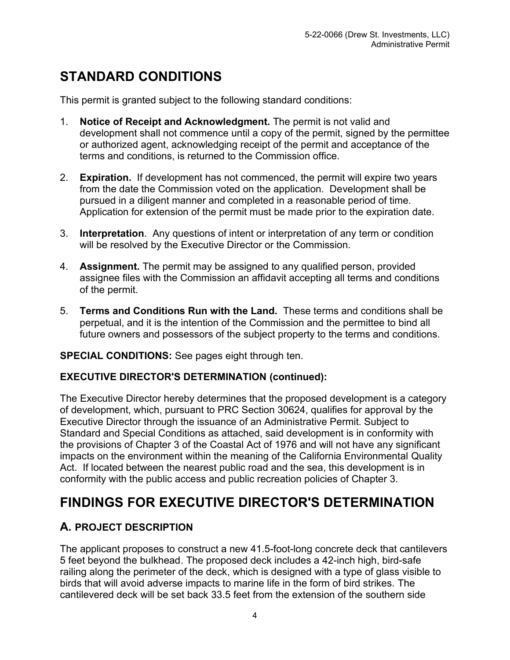# <span id="page-3-0"></span>**STANDARD CONDITIONS**

This permit is granted subject to the following standard conditions:

- 1. **Notice of Receipt and Acknowledgment.** The permit is not valid and development shall not commence until a copy of the permit, signed by the permittee or authorized agent, acknowledging receipt of the permit and acceptance of the terms and conditions, is returned to the Commission office.
- 2. **Expiration.** If development has not commenced, the permit will expire two years from the date the Commission voted on the application. Development shall be pursued in a diligent manner and completed in a reasonable period of time. Application for extension of the permit must be made prior to the expiration date.
- 3. **Interpretation**. Any questions of intent or interpretation of any term or condition will be resolved by the Executive Director or the Commission.
- 4. **Assignment.** The permit may be assigned to any qualified person, provided assignee files with the Commission an affidavit accepting all terms and conditions of the permit.
- 5. **Terms and Conditions Run with the Land.** These terms and conditions shall be perpetual, and it is the intention of the Commission and the permittee to bind all future owners and possessors of the subject property to the terms and conditions.

**SPECIAL CONDITIONS:** See pages eight through ten.

# **EXECUTIVE DIRECTOR'S DETERMINATION (continued):**

The Executive Director hereby determines that the proposed development is a category of development, which, pursuant to PRC Section 30624, qualifies for approval by the Executive Director through the issuance of an Administrative Permit. Subject to Standard and Special Conditions as attached, said development is in conformity with the provisions of Chapter 3 of the Coastal Act of 1976 and will not have any significant impacts on the environment within the meaning of the California Environmental Quality Act. If located between the nearest public road and the sea, this development is in conformity with the public access and public recreation policies of Chapter 3.

# <span id="page-3-1"></span>**FINDINGS FOR EXECUTIVE DIRECTOR'S DETERMINATION**

# <span id="page-3-2"></span>**A. PROJECT DESCRIPTION**

The applicant proposes to construct a new 41.5-foot-long concrete deck that cantilevers 5 feet beyond the bulkhead. The proposed deck includes a 42-inch high, bird-safe railing along the perimeter of the deck, which is designed with a type of glass visible to birds that will avoid adverse impacts to marine life in the form of bird strikes. The cantilevered deck will be set back 33.5 feet from the extension of the southern side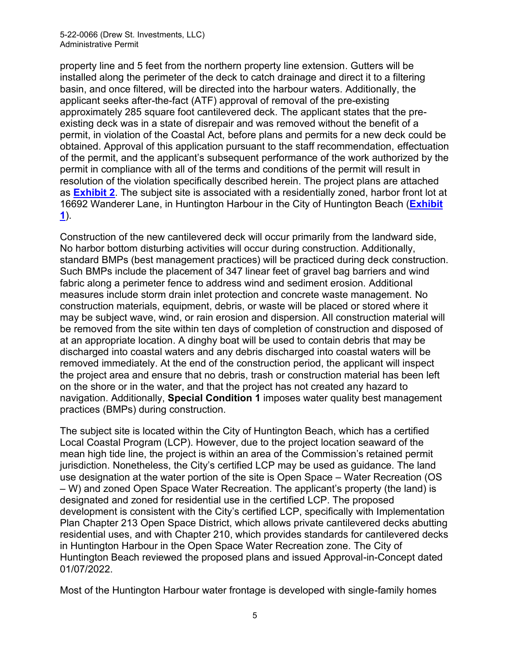### 5-22-0066 (Drew St. Investments, LLC) Administrative Permit

property line and 5 feet from the northern property line extension. Gutters will be installed along the perimeter of the deck to catch drainage and direct it to a filtering basin, and once filtered, will be directed into the harbour waters. Additionally, the applicant seeks after-the-fact (ATF) approval of removal of the pre-existing approximately 285 square foot cantilevered deck. The applicant states that the preexisting deck was in a state of disrepair and was removed without the benefit of a permit, in violation of the Coastal Act, before plans and permits for a new deck could be obtained. Approval of this application pursuant to the staff recommendation, effectuation of the permit, and the applicant's subsequent performance of the work authorized by the permit in compliance with all of the terms and conditions of the permit will result in resolution of the violation specifically described herein. The project plans are attached as **[Exhibit 2](https://documents.coastal.ca.gov/reports/2022/6/Th7a/Th7a-6-2022-exhibits.pdf)**. The subject site is associated with a residentially zoned, harbor front lot at 16692 Wanderer Lane, in Huntington Harbour in the City of Huntington Beach (**[Exhibit](https://documents.coastal.ca.gov/reports/2022/6/Th7a/Th7a-6-2022-exhibits.pdf)  [1](https://documents.coastal.ca.gov/reports/2022/6/Th7a/Th7a-6-2022-exhibits.pdf)**).

Construction of the new cantilevered deck will occur primarily from the landward side, No harbor bottom disturbing activities will occur during construction. Additionally, standard BMPs (best management practices) will be practiced during deck construction. Such BMPs include the placement of 347 linear feet of gravel bag barriers and wind fabric along a perimeter fence to address wind and sediment erosion. Additional measures include storm drain inlet protection and concrete waste management. No construction materials, equipment, debris, or waste will be placed or stored where it may be subject wave, wind, or rain erosion and dispersion. All construction material will be removed from the site within ten days of completion of construction and disposed of at an appropriate location. A dinghy boat will be used to contain debris that may be discharged into coastal waters and any debris discharged into coastal waters will be removed immediately. At the end of the construction period, the applicant will inspect the project area and ensure that no debris, trash or construction material has been left on the shore or in the water, and that the project has not created any hazard to navigation. Additionally, **Special Condition 1** imposes water quality best management practices (BMPs) during construction.

The subject site is located within the City of Huntington Beach, which has a certified Local Coastal Program (LCP). However, due to the project location seaward of the mean high tide line, the project is within an area of the Commission's retained permit jurisdiction. Nonetheless, the City's certified LCP may be used as guidance. The land use designation at the water portion of the site is Open Space – Water Recreation (OS – W) and zoned Open Space Water Recreation. The applicant's property (the land) is designated and zoned for residential use in the certified LCP. The proposed development is consistent with the City's certified LCP, specifically with Implementation Plan Chapter 213 Open Space District, which allows private cantilevered decks abutting residential uses, and with Chapter 210, which provides standards for cantilevered decks in Huntington Harbour in the Open Space Water Recreation zone. The City of Huntington Beach reviewed the proposed plans and issued Approval-in-Concept dated 01/07/2022.

Most of the Huntington Harbour water frontage is developed with single-family homes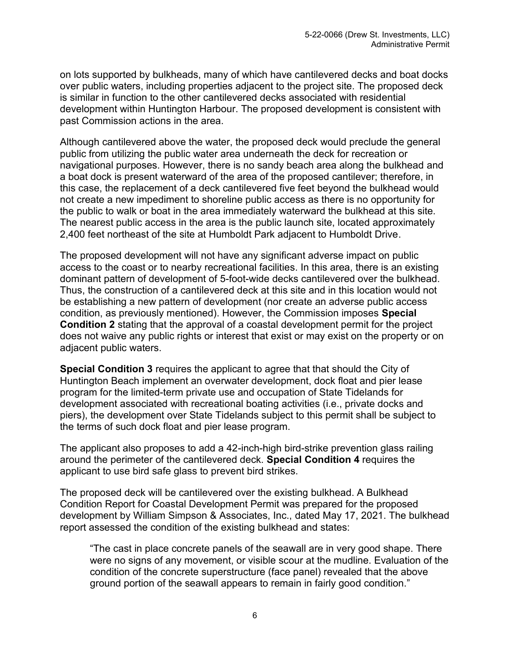on lots supported by bulkheads, many of which have cantilevered decks and boat docks over public waters, including properties adjacent to the project site. The proposed deck is similar in function to the other cantilevered decks associated with residential development within Huntington Harbour. The proposed development is consistent with past Commission actions in the area.

Although cantilevered above the water, the proposed deck would preclude the general public from utilizing the public water area underneath the deck for recreation or navigational purposes. However, there is no sandy beach area along the bulkhead and a boat dock is present waterward of the area of the proposed cantilever; therefore, in this case, the replacement of a deck cantilevered five feet beyond the bulkhead would not create a new impediment to shoreline public access as there is no opportunity for the public to walk or boat in the area immediately waterward the bulkhead at this site. The nearest public access in the area is the public launch site, located approximately 2,400 feet northeast of the site at Humboldt Park adjacent to Humboldt Drive.

The proposed development will not have any significant adverse impact on public access to the coast or to nearby recreational facilities. In this area, there is an existing dominant pattern of development of 5-foot-wide decks cantilevered over the bulkhead. Thus, the construction of a cantilevered deck at this site and in this location would not be establishing a new pattern of development (nor create an adverse public access condition, as previously mentioned). However, the Commission imposes **Special Condition 2** stating that the approval of a coastal development permit for the project does not waive any public rights or interest that exist or may exist on the property or on adjacent public waters.

**Special Condition 3** requires the applicant to agree that that should the City of Huntington Beach implement an overwater development, dock float and pier lease program for the limited-term private use and occupation of State Tidelands for development associated with recreational boating activities (i.e., private docks and piers), the development over State Tidelands subject to this permit shall be subject to the terms of such dock float and pier lease program.

The applicant also proposes to add a 42-inch-high bird-strike prevention glass railing around the perimeter of the cantilevered deck. **Special Condition 4** requires the applicant to use bird safe glass to prevent bird strikes.

The proposed deck will be cantilevered over the existing bulkhead. A Bulkhead Condition Report for Coastal Development Permit was prepared for the proposed development by William Simpson & Associates, Inc., dated May 17, 2021. The bulkhead report assessed the condition of the existing bulkhead and states:

"The cast in place concrete panels of the seawall are in very good shape. There were no signs of any movement, or visible scour at the mudline. Evaluation of the condition of the concrete superstructure (face panel) revealed that the above ground portion of the seawall appears to remain in fairly good condition."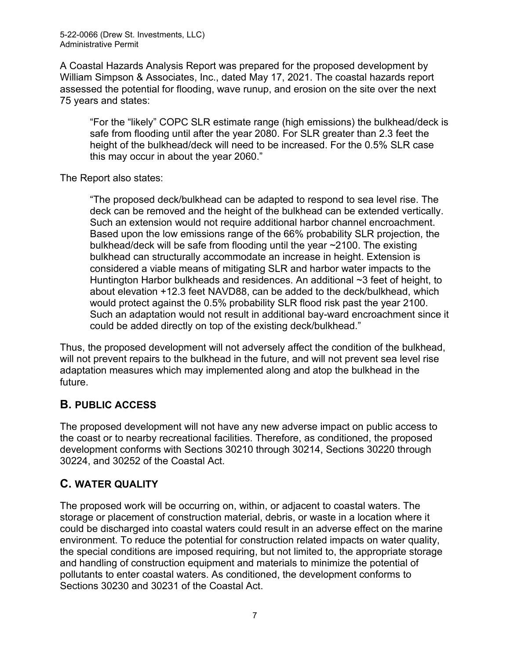A Coastal Hazards Analysis Report was prepared for the proposed development by William Simpson & Associates, Inc., dated May 17, 2021. The coastal hazards report assessed the potential for flooding, wave runup, and erosion on the site over the next 75 years and states:

"For the "likely" COPC SLR estimate range (high emissions) the bulkhead/deck is safe from flooding until after the year 2080. For SLR greater than 2.3 feet the height of the bulkhead/deck will need to be increased. For the 0.5% SLR case this may occur in about the year 2060."

The Report also states:

"The proposed deck/bulkhead can be adapted to respond to sea level rise. The deck can be removed and the height of the bulkhead can be extended vertically. Such an extension would not require additional harbor channel encroachment. Based upon the low emissions range of the 66% probability SLR projection, the bulkhead/deck will be safe from flooding until the year ~2100. The existing bulkhead can structurally accommodate an increase in height. Extension is considered a viable means of mitigating SLR and harbor water impacts to the Huntington Harbor bulkheads and residences. An additional ~3 feet of height, to about elevation +12.3 feet NAVD88, can be added to the deck/bulkhead, which would protect against the 0.5% probability SLR flood risk past the year 2100. Such an adaptation would not result in additional bay-ward encroachment since it could be added directly on top of the existing deck/bulkhead."

Thus, the proposed development will not adversely affect the condition of the bulkhead, will not prevent repairs to the bulkhead in the future, and will not prevent sea level rise adaptation measures which may implemented along and atop the bulkhead in the future.

# <span id="page-6-0"></span>**B. PUBLIC ACCESS**

The proposed development will not have any new adverse impact on public access to the coast or to nearby recreational facilities. Therefore, as conditioned, the proposed development conforms with Sections 30210 through 30214, Sections 30220 through 30224, and 30252 of the Coastal Act.

# <span id="page-6-1"></span>**C. WATER QUALITY**

The proposed work will be occurring on, within, or adjacent to coastal waters. The storage or placement of construction material, debris, or waste in a location where it could be discharged into coastal waters could result in an adverse effect on the marine environment. To reduce the potential for construction related impacts on water quality, the special conditions are imposed requiring, but not limited to, the appropriate storage and handling of construction equipment and materials to minimize the potential of pollutants to enter coastal waters. As conditioned, the development conforms to Sections 30230 and 30231 of the Coastal Act.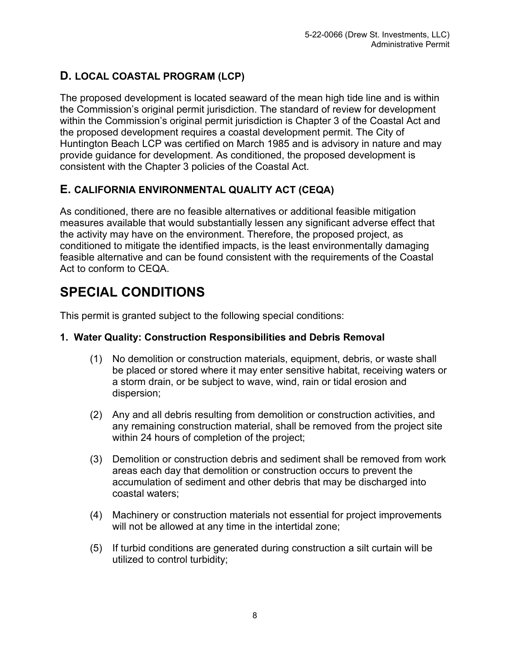# <span id="page-7-0"></span>**D. LOCAL COASTAL PROGRAM (LCP)**

The proposed development is located seaward of the mean high tide line and is within the Commission's original permit jurisdiction. The standard of review for development within the Commission's original permit jurisdiction is Chapter 3 of the Coastal Act and the proposed development requires a coastal development permit. The City of Huntington Beach LCP was certified on March 1985 and is advisory in nature and may provide guidance for development. As conditioned, the proposed development is consistent with the Chapter 3 policies of the Coastal Act.

# <span id="page-7-1"></span>**E. CALIFORNIA ENVIRONMENTAL QUALITY ACT (CEQA)**

As conditioned, there are no feasible alternatives or additional feasible mitigation measures available that would substantially lessen any significant adverse effect that the activity may have on the environment. Therefore, the proposed project, as conditioned to mitigate the identified impacts, is the least environmentally damaging feasible alternative and can be found consistent with the requirements of the Coastal Act to conform to CEQA.

# <span id="page-7-2"></span>**SPECIAL CONDITIONS**

This permit is granted subject to the following special conditions:

# **1. Water Quality: Construction Responsibilities and Debris Removal**

- (1) No demolition or construction materials, equipment, debris, or waste shall be placed or stored where it may enter sensitive habitat, receiving waters or a storm drain, or be subject to wave, wind, rain or tidal erosion and dispersion;
- (2) Any and all debris resulting from demolition or construction activities, and any remaining construction material, shall be removed from the project site within 24 hours of completion of the project;
- (3) Demolition or construction debris and sediment shall be removed from work areas each day that demolition or construction occurs to prevent the accumulation of sediment and other debris that may be discharged into coastal waters;
- (4) Machinery or construction materials not essential for project improvements will not be allowed at any time in the intertidal zone;
- (5) If turbid conditions are generated during construction a silt curtain will be utilized to control turbidity;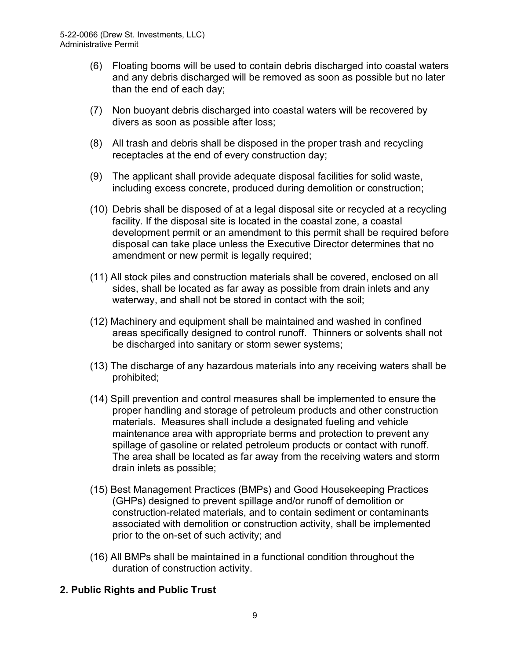- (6) Floating booms will be used to contain debris discharged into coastal waters and any debris discharged will be removed as soon as possible but no later than the end of each day;
- (7) Non buoyant debris discharged into coastal waters will be recovered by divers as soon as possible after loss;
- (8) All trash and debris shall be disposed in the proper trash and recycling receptacles at the end of every construction day;
- (9) The applicant shall provide adequate disposal facilities for solid waste, including excess concrete, produced during demolition or construction;
- (10) Debris shall be disposed of at a legal disposal site or recycled at a recycling facility. If the disposal site is located in the coastal zone, a coastal development permit or an amendment to this permit shall be required before disposal can take place unless the Executive Director determines that no amendment or new permit is legally required;
- (11) All stock piles and construction materials shall be covered, enclosed on all sides, shall be located as far away as possible from drain inlets and any waterway, and shall not be stored in contact with the soil;
- (12) Machinery and equipment shall be maintained and washed in confined areas specifically designed to control runoff. Thinners or solvents shall not be discharged into sanitary or storm sewer systems;
- (13) The discharge of any hazardous materials into any receiving waters shall be prohibited;
- (14) Spill prevention and control measures shall be implemented to ensure the proper handling and storage of petroleum products and other construction materials. Measures shall include a designated fueling and vehicle maintenance area with appropriate berms and protection to prevent any spillage of gasoline or related petroleum products or contact with runoff. The area shall be located as far away from the receiving waters and storm drain inlets as possible;
- (15) Best Management Practices (BMPs) and Good Housekeeping Practices (GHPs) designed to prevent spillage and/or runoff of demolition or construction-related materials, and to contain sediment or contaminants associated with demolition or construction activity, shall be implemented prior to the on-set of such activity; and
- (16) All BMPs shall be maintained in a functional condition throughout the duration of construction activity.

# **2. Public Rights and Public Trust**